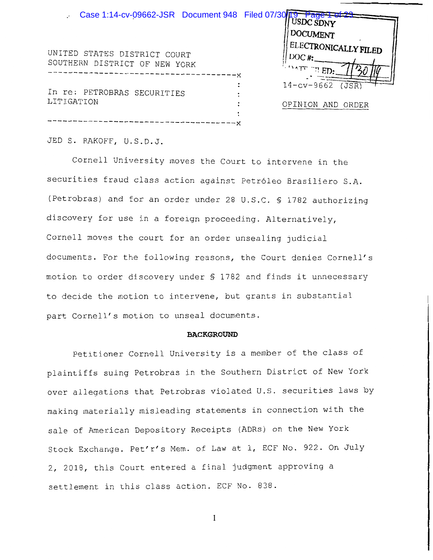

JED S. RAKOFF, U.S.D.J.

Cornell University moves the Court to intervene in the securities fraud class action against Petróleo Brasiliero S.A. (Petrobras) and for an order under 28 U.S.C. § 1782 authorizing discovery for use in a foreign proceeding. Alternatively, Cornell moves the court for an order unsealing judicial documents. For the following reasons, the Court denies Cornell's motion to order discovery under § 1782 and finds it unnecessary to decide the motion to intervene, but grants in substantial part Cornell's motion to unseal documents.

#### **BACKGROUND**

Petitioner Cornell University is a member of the class of plaintiffs suing Petrobras in the Southern District of New York over allegations that Petrobras violated U.S. securities laws by making materially misleading statements in connection with the sale of American Depository Receipts (ADRs) on the New York Stock Exchange. Pet'r's Mem. of Law at 1, ECF No. 922. On July 2, 2018, this Court entered a final judgment approving a settlement in this class action. ECF No. 838.

 $\mathbf{1}$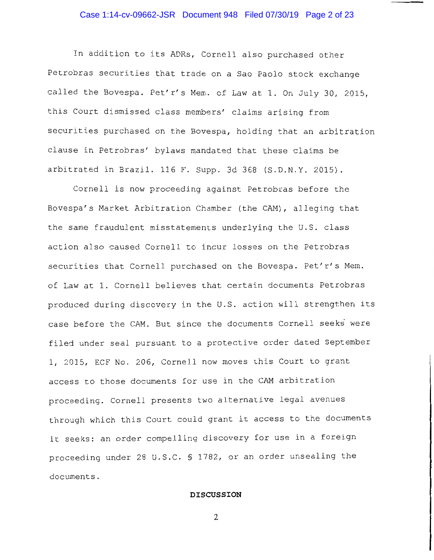#### Case 1:14-cv-09662-JSR Document 948 Filed 07/30/19 Page 2 of 23

In addition to its ADRs, Cornell also purchased other Petrobras securities that trade on a Sao Paolo stock exchange called the Bovespa. Pet'r's Mem. of Law at 1. On July 30, 2015, this Court dismissed class members' claims arising from securities purchased on the Bovespa, holding that an arbitration clause in Petrobras' bylaws mandated that these claims be arbitrated in Brazil. 116 F. Supp. 3d 368 (S.D.N.Y. 2015).

Cornell is now proceeding against Petrobras before the Bovespa's Market Arbitration Chamber (the CAM), alleging that the same fraudulent misstatements underlying the U.S. class action also caused Cornell to incur losses on the Petrobras securities that Cornell purchased on the Bovespa. Pet'r's Mem. of Law at 1. Cornell believes that certain documents Petrobras produced during discovery in the U.S. action will strengthen its case before the CAM. But since the documents Cornell seeks were filed under seal pursuant to a protective order dated September 1, 2015, ECF No. 206, Cornell now moves this Court to grant access to those documents for use in the CAM arbitration proceeding. Cornell presents two alternative legal avenues through which this Court could grant it access to the documents it seeks: an order compelling discovery for use in a foreign proceeding under 28 U.S.C. § 1782, or an order unsealing the documents.

#### **DISCUSSION**

 $\overline{2}$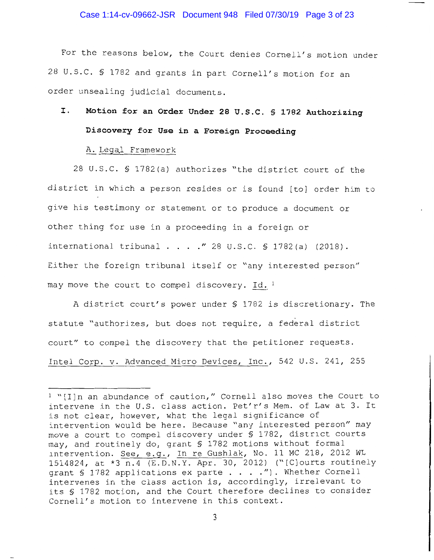#### Case 1:14-cv-09662-JSR Document 948 Filed 07/30/19 Page 3 of 23

For the reasons below, the Court denies Cornell's motion under 28 U.S.C. § 1782 and grants in part Cornell's motion for an order unsealing judicial documents.

# Motion for an Order Under 28 U.S.C. § 1782 Authorizing I. Discovery for Use in a Foreign Proceeding

### A. Legal Framework

28 U.S.C. § 1782(a) authorizes "the district court of the district in which a person resides or is found [to] order him to give his testimony or statement or to produce a document or other thing for use in a proceeding in a foreign or international tribunal . . . . " 28 U.S.C. § 1782(a) (2018). Either the foreign tribunal itself or "any interested person" may move the court to compel discovery. Id. 1

A district court's power under § 1782 is discretionary. The statute "authorizes, but does not require, a federal district court" to compel the discovery that the petitioner requests. Intel Corp. v. Advanced Micro Devices, Inc., 542 U.S. 241, 255

<sup>&</sup>lt;sup>1</sup> "[I]n an abundance of caution," Cornell also moves the Court to intervene in the U.S. class action. Pet'r's Mem. of Law at 3. It is not clear, however, what the legal significance of intervention would be here. Because "any interested person" may move a court to compel discovery under \$ 1782, district courts may, and routinely do, grant § 1782 motions without formal intervention. See, e.g., In re Gushlak, No. 11 MC 218, 2012 WL 1514824, at \*3 n.4 (E.D.N.Y. Apr. 30, 2012) ("[C] ourts routinely grant § 1782 applications ex parte . . . . "). Whether Cornell intervenes in the class action is, accordingly, irrelevant to its § 1782 motion, and the Court therefore declines to consider Cornell's motion to intervene in this context.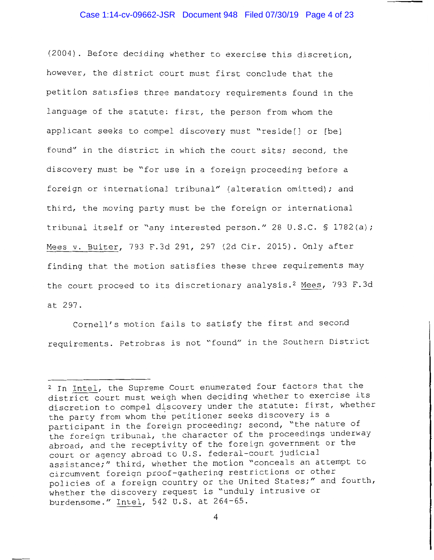#### Case 1:14-cv-09662-JSR Document 948 Filed 07/30/19 Page 4 of 23

(2004). Before deciding whether to exercise this discretion, however, the district court must first conclude that the petition satisfies three mandatory requirements found in the language of the statute: first, the person from whom the applicant seeks to compel discovery must "reside[] or [be] found" in the district in which the court sits; second, the discovery must be "for use in a foreign proceeding before a foreign or international tribunal" (alteration omitted); and third, the moving party must be the foreign or international tribunal itself or "any interested person." 28 U.S.C. § 1782(a); Mees v. Buiter, 793 F.3d 291, 297 (2d Cir. 2015). Only after finding that the motion satisfies these three requirements may the court proceed to its discretionary analysis.<sup>2</sup> Mees, 793 F.3d at 297.

Cornell's motion fails to satisfy the first and second requirements. Petrobras is not "found" in the Southern District

 $\overline{4}$ 

<sup>&</sup>lt;sup>2</sup> In Intel, the Supreme Court enumerated four factors that the district court must weigh when deciding whether to exercise its discretion to compel discovery under the statute: first, whether the party from whom the petitioner seeks discovery is a participant in the foreign proceeding; second, "the nature of the foreign tribunal, the character of the proceedings underway abroad, and the receptivity of the foreign government or the court or agency abroad to U.S. federal-court judicial assistance;" third, whether the motion "conceals an attempt to circumvent foreign proof-gathering restrictions or other policies of a foreign country or the United States;" and fourth, whether the discovery request is "unduly intrusive or burdensome." Intel, 542 U.S. at 264-65.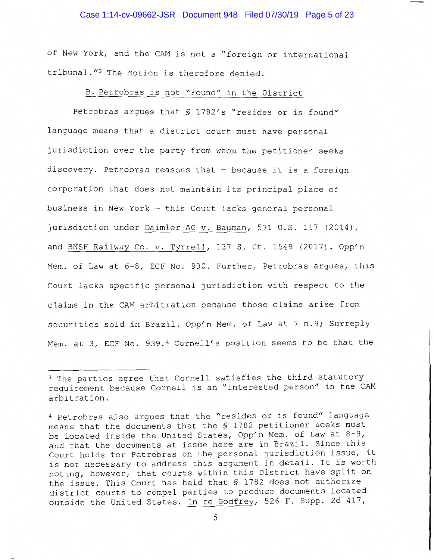#### Case 1:14-cv-09662-JSR Document 948 Filed 07/30/19 Page 5 of 23

of New York, and the CAM is not a "foreign or international tribunal."3 The motion is therefore denied.

### B. Petrobras is not "Found" in the District

Petrobras argues that § 1782's "resides or is found" language means that a district court must have personal jurisdiction over the party from whom the petitioner seeks discovery. Petrobras reasons that - because it is a foreign corporation that does not maintain its principal place of business in New York - this Court lacks general personal jurisdiction under Daimler AG v. Bauman, 571 U.S. 117 (2014), and BNSF Railway Co. v. Tyrrell, 137 S. Ct. 1549 (2017). Opp'n Mem. of Law at 6-8, ECF No. 930. Further, Petrobras argues, this Court lacks specific personal jurisdiction with respect to the claims in the CAM arbitration because those claims arise from securities sold in Brazil. Opp'n Mem. of Law at 7 n.9; Surreply Mem. at 3, ECF No. 939.4 Cornell's position seems to be that the

<sup>&</sup>lt;sup>3</sup> The parties agree that Cornell satisfies the third statutory requirement because Cornell is an "interested person" in the CAM arbitration.

<sup>4</sup> Petrobras also argues that the "resides or is found" language means that the documents that the § 1782 petitioner seeks must be located inside the United States, Opp'n Mem. of Law at 8-9, and that the documents at issue here are in Brazil. Since this Court holds for Petrobras on the personal jurisdiction issue, it is not necessary to address this argument in detail. It is worth noting, however, that courts within this District have split on the issue. This Court has held that § 1782 does not authorize district courts to compel parties to produce documents located outside the United States, In re Godfrey, 526 F. Supp. 2d 417,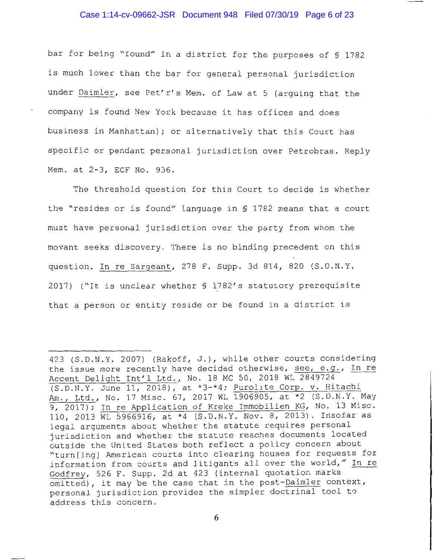#### Case 1:14-cv-09662-JSR Document 948 Filed 07/30/19 Page 6 of 23

bar for being "found" in a district for the purposes of § 1782 is much lower than the bar for general personal jurisdiction under Daimler, see Pet'r's Mem. of Law at 5 (arguing that the company is found New York because it has offices and does business in Manhattan); or alternatively that this Court has specific or pendant personal jurisdiction over Petrobras. Reply Mem. at 2-3, ECF No. 936.

The threshold question for this Court to decide is whether the "resides or is found" language in § 1782 means that a court must have personal jurisdiction over the party from whom the movant seeks discovery. There is no binding precedent on this question. In re Sargeant, 278 F. Supp. 3d 814, 820 (S.D.N.Y. 2017) ("It is unclear whether § 1782's statutory prerequisite that a person or entity reside or be found in a district is

<sup>423 (</sup>S.D.N.Y. 2007) (Rakoff, J.), while other courts considering the issue more recently have decided otherwise, see, e.g., In re Accent Delight Int'l Ltd., No. 18 MC 50, 2018 WL 2849724 (S.D.N.Y. June 11, 2018), at \*3-\*4; Purolite Corp. v. Hitachi Am., Ltd., No. 17 Misc. 67, 2017 WL 1906905, at \*2 (S.D.N.Y. May  $\overline{9, 2017}$ ; In re Application of Kreke Immobilien KG, No. 13 Misc. 110, 2013 WL 5966916, at \*4 (S.D.N.Y. Nov. 8, 2013). Insofar as legal arguments about whether the statute requires personal jurisdiction and whether the statute reaches documents located outside the United States both reflect a policy concern about "turn[ing] American courts into clearing houses for requests for information from courts and litigants all over the world," In re Godfrey, 526 F. Supp. 2d at 423 (internal quotation marks omitted), it may be the case that in the post-Daimler context, personal jurisdiction provides the simpler doctrinal tool to address this concern.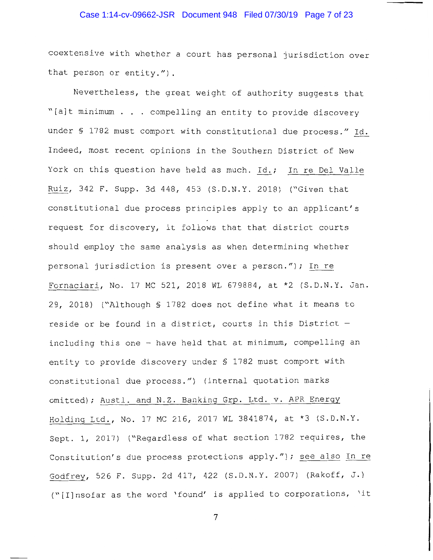#### Case 1:14-cv-09662-JSR Document 948 Filed 07/30/19 Page 7 of 23

coextensive with whether a court has personal jurisdiction over that person or entity.").

Nevertheless, the great weight of authority suggests that "[a]t minimum . . . compelling an entity to provide discovery under § 1782 must comport with constitutional due process." Id. Indeed, most recent opinions in the Southern District of New York on this question have held as much. Id.; In re Del Valle Ruiz, 342 F. Supp. 3d 448, 453 (S.D.N.Y. 2018) ("Given that constitutional due process principles apply to an applicant's request for discovery, it follows that that district courts should employ the same analysis as when determining whether personal jurisdiction is present over a person."); In re Fornaciari, No. 17 MC 521, 2018 WL 679884, at \*2 (S.D.N.Y. Jan. 29, 2018) ("Although § 1782 does not define what it means to reside or be found in a district, courts in this District including this one - have held that at minimum, compelling an entity to provide discovery under \$ 1782 must comport with constitutional due process.") (internal quotation marks omitted); Austl. and N.Z. Banking Grp. Ltd. v. APR Energy Holding Ltd., No. 17 MC 216, 2017 WL 3841874, at \*3 (S.D.N.Y. Sept. 1, 2017) ("Regardless of what section 1782 requires, the Constitution's due process protections apply."); see also In re Godfrey, 526 F. Supp. 2d 417, 422 (S.D.N.Y. 2007) (Rakoff, J.) ("[I]nsofar as the word 'found' is applied to corporations, 'it

 $7\phantom{.0}$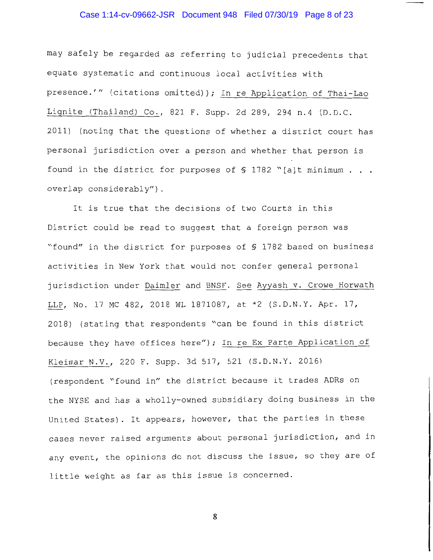#### Case 1:14-cv-09662-JSR Document 948 Filed 07/30/19 Page 8 of 23

may safely be regarded as referring to judicial precedents that equate systematic and continuous local activities with presence.'" (citations omitted)); In re Application of Thai-Lao Lignite (Thailand) Co., 821 F. Supp. 2d 289, 294 n.4 (D.D.C. 2011) (noting that the questions of whether a district court has personal jurisdiction over a person and whether that person is found in the district for purposes of § 1782 "[a]t minimum . . . overlap considerably").

It is true that the decisions of two Courts in this District could be read to suggest that a foreign person was "found" in the district for purposes of § 1782 based on business activities in New York that would not confer general personal jurisdiction under Daimler and BNSF. See Ayyash v. Crowe Horwath LLP, No. 17 MC 482, 2018 WL 1871087, at \*2 (S.D.N.Y. Apr. 17, 2018) (stating that respondents "can be found in this district because they have offices here"); In re Ex Parte Application of Kleimar N.V., 220 F. Supp. 3d 517, 521 (S.D.N.Y. 2016) (respondent "found in" the district because it trades ADRs on the NYSE and has a wholly-owned subsidiary doing business in the United States). It appears, however, that the parties in these cases never raised arguments about personal jurisdiction, and in any event, the opinions do not discuss the issue, so they are of little weight as far as this issue is concerned.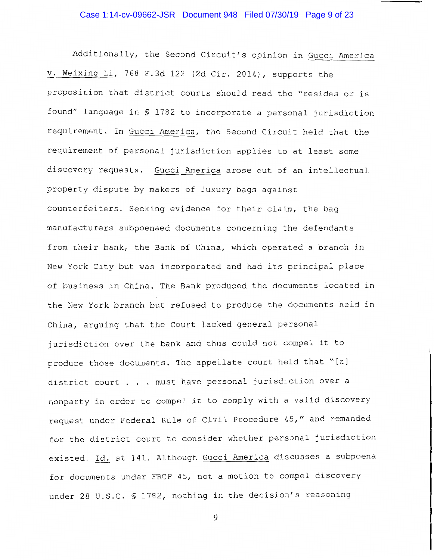## Case 1:14-cv-09662-JSR Document 948 Filed 07/30/19 Page 9 of 23

Additionally, the Second Circuit's opinion in Gucci America v. Weixing Li, 768 F.3d 122 (2d Cir. 2014), supports the proposition that district courts should read the "resides or is found" language in § 1782 to incorporate a personal jurisdiction requirement. In Gucci America, the Second Circuit held that the requirement of personal jurisdiction applies to at least some discovery requests. Gucci America arose out of an intellectual property dispute by makers of luxury bags against counterfeiters. Seeking evidence for their claim, the bag manufacturers subpoenaed documents concerning the defendants from their bank, the Bank of China, which operated a branch in New York City but was incorporated and had its principal place of business in China. The Bank produced the documents located in the New York branch but refused to produce the documents held in China, arquing that the Court lacked general personal jurisdiction over the bank and thus could not compel it to produce those documents. The appellate court held that "[a] district court . . . must have personal jurisdiction over a nonparty in order to compel it to comply with a valid discovery request under Federal Rule of Civil Procedure 45," and remanded for the district court to consider whether personal jurisdiction existed. Id. at 141. Although Gucci America discusses a subpoena for documents under FRCP 45, not a motion to compel discovery under 28 U.S.C. § 1782, nothing in the decision's reasoning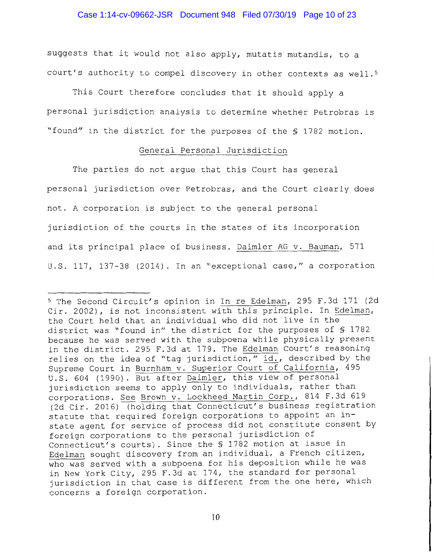#### Case 1:14-cv-09662-JSR Document 948 Filed 07/30/19 Page 10 of 23

suggests that it would not also apply, mutatis mutandis, to a court's authority to compel discovery in other contexts as well.<sup>5</sup>

This Court therefore concludes that it should apply a personal jurisdiction analysis to determine whether Petrobras is "found" in the district for the purposes of the \$ 1782 motion.

## General Personal Jurisdiction

The parties do not arque that this Court has general personal jurisdiction over Petrobras, and the Court clearly does not. A corporation is subject to the general personal jurisdiction of the courts in the states of its incorporation and its principal place of business. Daimler AG v. Bauman, 571 U.S. 117, 137-38 (2014). In an "exceptional case," a corporation

<sup>&</sup>lt;sup>5</sup> The Second Circuit's opinion in In re Edelman, 295 F.3d 171 (2d Cir. 2002), is not inconsistent with this principle. In Edelman, the Court held that an individual who did not live in the district was "found in" the district for the purposes of § 1782 because he was served with the subpoena while physically present in the district. 295 F.3d at 179. The Edelman Court's reasoning relies on the idea of "tag jurisdiction," id., described by the Supreme Court in Burnham v. Superior Court of California, 495 U.S. 604 (1990). But after Daimler, this view of personal jurisdiction seems to apply only to individuals, rather than corporations. See Brown v. Lockheed Martin Corp., 814 F.3d 619 (2d Cir. 2016) (holding that Connecticut's business registration statute that required foreign corporations to appoint an instate agent for service of process did not constitute consent by foreign corporations to the personal jurisdiction of Connecticut's courts). Since the § 1782 motion at issue in Edelman sought discovery from an individual, a French citizen, who was served with a subpoena for his deposition while he was in New York City, 295 F.3d at 174, the standard for personal jurisdiction in that case is different from the one here, which concerns a foreign corporation.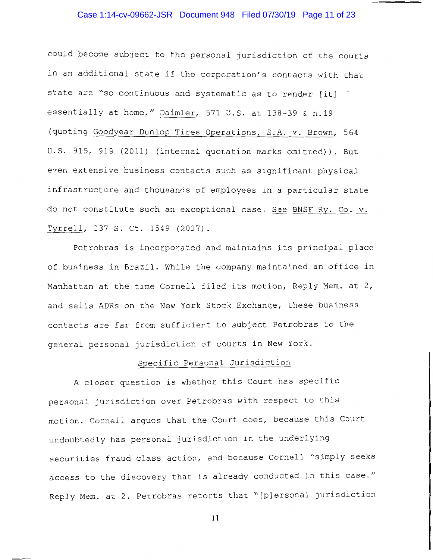#### Case 1:14-cv-09662-JSR Document 948 Filed 07/30/19 Page 11 of 23

could become subject to the personal jurisdiction of the courts in an additional state if the corporation's contacts with that state are "so continuous and systematic as to render [it] essentially at home," Daimler, 571 U.S. at 138-39 & n.19 (quoting Goodyear Dunlop Tires Operations, S.A. v. Brown, 564 U.S. 915, 919 (2011) (internal quotation marks omitted)). But even extensive business contacts such as significant physical infrastructure and thousands of employees in a particular state do not constitute such an exceptional case. See BNSF Ry. Co. v. Tyrrell, 137 S. Ct. 1549 (2017).

Petrobras is incorporated and maintains its principal place of business in Brazil. While the company maintained an office in Manhattan at the time Cornell filed its motion, Reply Mem. at 2, and sells ADRs on the New York Stock Exchange, these business contacts are far from sufficient to subject Petrobras to the general personal jurisdiction of courts in New York.

### Specific Personal Jurisdiction

A closer question is whether this Court has specific personal jurisdiction over Petrobras with respect to this motion. Cornell argues that the Court does, because this Court undoubtedly has personal jurisdiction in the underlying securities fraud class action, and because Cornell "simply seeks access to the discovery that is already conducted in this case." Reply Mem. at 2. Petrobras retorts that "[p]ersonal jurisdiction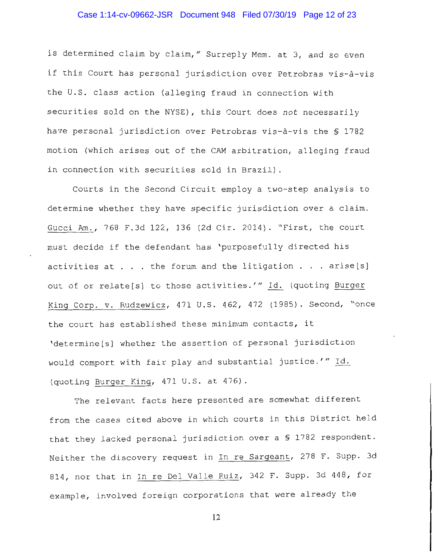#### Case 1:14-cv-09662-JSR Document 948 Filed 07/30/19 Page 12 of 23

is determined claim by claim," Surreply Mem. at 3, and so even if this Court has personal jurisdiction over Petrobras vis-à-vis the U.S. class action (alleging fraud in connection with securities sold on the NYSE), this Court does not necessarily have personal jurisdiction over Petrobras vis-à-vis the § 1782 motion (which arises out of the CAM arbitration, alleging fraud in connection with securities sold in Brazil).

Courts in the Second Circuit employ a two-step analysis to determine whether they have specific jurisdiction over a claim. Gucci Am., 768 F.3d 122, 136 (2d Cir. 2014). "First, the court must decide if the defendant has 'purposefully directed his activities at . . . the forum and the litigation . . . arise[s] out of or relate[s] to those activities.'" Id. (quoting Burger King Corp. v. Rudzewicz, 471 U.S. 462, 472 (1985). Second, "once the court has established these minimum contacts, it 'determine[s] whether the assertion of personal jurisdiction would comport with fair play and substantial justice.'" Id. (quoting Burger King, 471 U.S. at 476).

The relevant facts here presented are somewhat different from the cases cited above in which courts in this District held that they lacked personal jurisdiction over a § 1782 respondent. Neither the discovery request in In re Sargeant, 278 F. Supp. 3d 814, nor that in In re Del Valle Ruiz, 342 F. Supp. 3d 448, for example, involved foreign corporations that were already the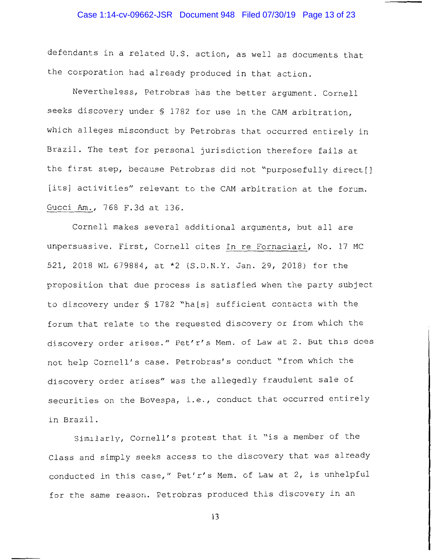#### Case 1:14-cv-09662-JSR Document 948 Filed 07/30/19 Page 13 of 23

defendants in a related U.S. action, as well as documents that the corporation had already produced in that action.

Nevertheless, Petrobras has the better argument. Cornell seeks discovery under § 1782 for use in the CAM arbitration, which alleges misconduct by Petrobras that occurred entirely in Brazil. The test for personal jurisdiction therefore fails at the first step, because Petrobras did not "purposefully direct[] [its] activities" relevant to the CAM arbitration at the forum. Gucci Am., 768 F.3d at 136.

Cornell makes several additional arguments, but all are unpersuasive. First, Cornell cites In re Fornaciari, No. 17 MC 521, 2018 WL 679884, at \*2 (S.D.N.Y. Jan. 29, 2018) for the proposition that due process is satisfied when the party subject to discovery under § 1782 "ha[s] sufficient contacts with the forum that relate to the requested discovery or from which the discovery order arises." Pet'r's Mem. of Law at 2. But this does not help Cornell's case. Petrobras's conduct "from which the discovery order arises" was the allegedly fraudulent sale of securities on the Bovespa, i.e., conduct that occurred entirely in Brazil.

Similarly, Cornell's protest that it "is a member of the Class and simply seeks access to the discovery that was already conducted in this case," Pet'r's Mem. of Law at 2, is unhelpful for the same reason. Petrobras produced this discovery in an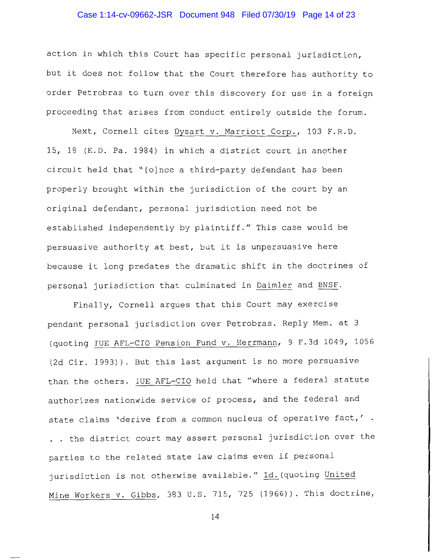#### Case 1:14-cv-09662-JSR Document 948 Filed 07/30/19 Page 14 of 23

action in which this Court has specific personal jurisdiction, but it does not follow that the Court therefore has authority to order Petrobras to turn over this discovery for use in a foreign proceeding that arises from conduct entirely outside the forum.

Next, Cornell cites Dysart v. Marriott Corp., 103 F.R.D. 15, 18 (E.D. Pa. 1984) in which a district court in another circuit held that "[o]nce a third-party defendant has been properly brought within the jurisdiction of the court by an original defendant, personal jurisdiction need not be established independently by plaintiff." This case would be persuasive authority at best, but it is unpersuasive here because it long predates the dramatic shift in the doctrines of personal jurisdiction that culminated in Daimler and BNSF.

Finally, Cornell argues that this Court may exercise pendant personal jurisdiction over Petrobras. Reply Mem. at 3 (quoting IUE AFL-CIO Pension Fund v. Herrmann, 9 F.3d 1049, 1056 (2d Cir. 1993)). But this last argument is no more persuasive than the others. IUE AFL-CIO held that "where a federal statute authorizes nationwide service of process, and the federal and state claims 'derive from a common nucleus of operative fact,'. . . the district court may assert personal jurisdiction over the parties to the related state law claims even if personal jurisdiction is not otherwise available." Id. (quoting United Mine Workers v. Gibbs, 383 U.S. 715, 725 (1966)). This doctrine,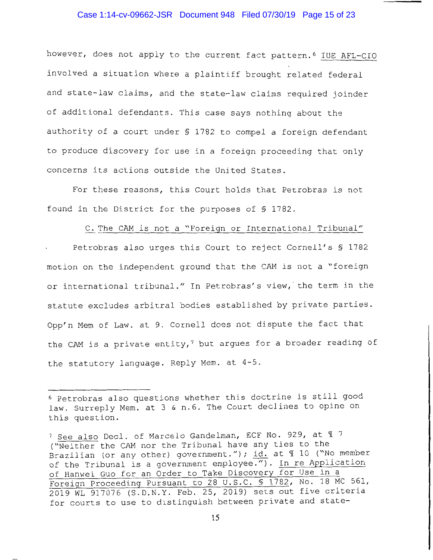#### Case 1:14-cv-09662-JSR Document 948 Filed 07/30/19 Page 15 of 23

however, does not apply to the current fact pattern.<sup>6</sup> IUE AFL-CIO involved a situation where a plaintiff brought related federal and state-law claims, and the state-law claims required joinder of additional defendants. This case says nothing about the authority of a court under § 1782 to compel a foreign defendant to produce discovery for use in a foreign proceeding that only concerns its actions outside the United States.

For these reasons, this Court holds that Petrobras is not found in the District for the purposes of § 1782.

#### C. The CAM is not a "Foreign or International Tribunal"

Petrobras also urges this Court to reject Cornell's § 1782 motion on the independent ground that the CAM is not a "foreign or international tribunal." In Petrobras's view, the term in the statute excludes arbitral bodies established by private parties. Opp'n Mem of Law. at 9. Cornell does not dispute the fact that the CAM is a private entity,<sup>7</sup> but argues for a broader reading of the statutory language. Reply Mem. at 4-5.

<sup>&</sup>lt;sup>6</sup> Petrobras also questions whether this doctrine is still good law. Surreply Mem. at 3 & n.6. The Court declines to opine on this question.

<sup>&</sup>lt;sup>7</sup> See also Decl. of Marcelo Gandelman, ECF No. 929, at 17 ("Neither the CAM nor the Tribunal have any ties to the Brazilian (or any other) government."); id. at \ 10 ("No member of the Tribunal is a government employee."). In re Application of Hanwei Guo for an Order to Take Discovery for Use in a Foreign Proceeding Pursuant to 28 U.S.C. § 1782, No. 18 MC 561, 2019 WL 917076 (S.D.N.Y. Feb. 25, 2019) sets out five criteria for courts to use to distinguish between private and state-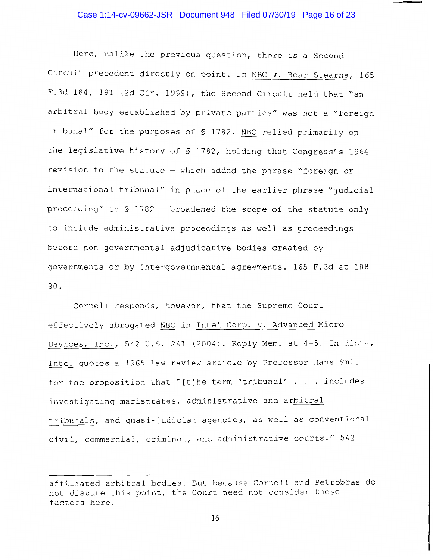Here, unlike the previous question, there is a Second Circuit precedent directly on point. In NBC v. Bear Stearns, 165 F.3d 184, 191 (2d Cir. 1999), the Second Circuit held that "an arbitral body established by private parties" was not a "foreign tribunal" for the purposes of § 1782. NBC relied primarily on the legislative history of § 1782, holding that Congress's 1964 revision to the statute - which added the phrase "foreign or international tribunal" in place of the earlier phrase "judicial proceeding" to \$ 1782 - broadened the scope of the statute only to include administrative proceedings as well as proceedings before non-governmental adjudicative bodies created by governments or by intergovernmental agreements. 165 F.3d at 188-90.

Cornell responds, however, that the Supreme Court effectively abrogated NBC in Intel Corp. v. Advanced Micro Devices, Inc., 542 U.S. 241 (2004). Reply Mem. at 4-5. In dicta, Intel quotes a 1965 law review article by Professor Hans Smit for the proposition that "[t]he term 'tribunal'  $\ldots$  includes investigating magistrates, administrative and arbitral tribunals, and quasi-judicial agencies, as well as conventional civil, commercial, criminal, and administrative courts." 542

affiliated arbitral bodies. But because Cornell and Petrobras do not dispute this point, the Court need not consider these factors here.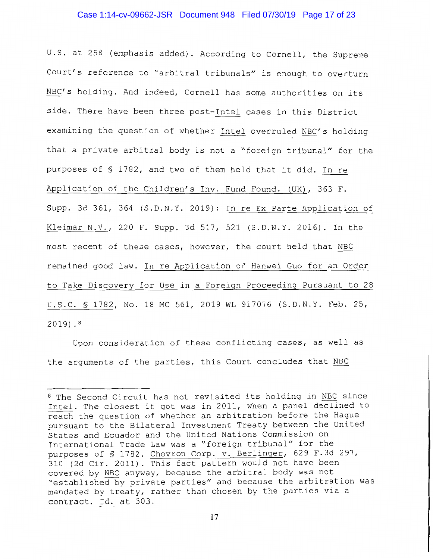#### Case 1:14-cv-09662-JSR Document 948 Filed 07/30/19 Page 17 of 23

U.S. at 258 (emphasis added). According to Cornell, the Supreme Court's reference to "arbitral tribunals" is enough to overturn NBC's holding. And indeed, Cornell has some authorities on its side. There have been three post-Intel cases in this District examining the question of whether Intel overruled NBC's holding that a private arbitral body is not a "foreign tribunal" for the purposes of § 1782, and two of them held that it did. In re Application of the Children's Inv. Fund Found. (UK), 363 F. Supp. 3d 361, 364 (S.D.N.Y. 2019); In re Ex Parte Application of Kleimar N.V., 220 F. Supp. 3d 517, 521 (S.D.N.Y. 2016). In the most recent of these cases, however, the court held that NBC remained good law. In re Application of Hanwei Guo for an Order to Take Discovery for Use in a Foreign Proceeding Pursuant to 28 U.S.C. § 1782, No. 18 MC 561, 2019 WL 917076 (S.D.N.Y. Feb. 25,  $2019.8$ 

Upon consideration of these conflicting cases, as well as the arguments of the parties, this Court concludes that NBC

<sup>&</sup>lt;sup>8</sup> The Second Circuit has not revisited its holding in NBC since Intel. The closest it got was in 2011, when a panel declined to reach the question of whether an arbitration before the Haque pursuant to the Bilateral Investment Treaty between the United States and Ecuador and the United Nations Commission on International Trade Law was a "foreign tribunal" for the purposes of § 1782. Chevron Corp. v. Berlinger, 629 F.3d 297, 310 (2d Cir. 2011). This fact pattern would not have been covered by NBC anyway, because the arbitral body was not "established by private parties" and because the arbitration was mandated by treaty, rather than chosen by the parties via a contract. Id. at 303.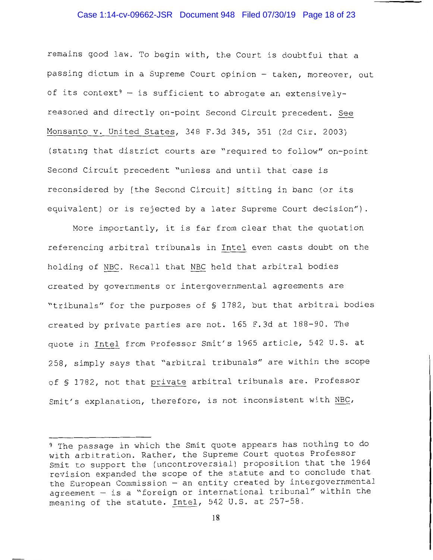#### Case 1:14-cv-09662-JSR Document 948 Filed 07/30/19 Page 18 of 23

remains good law. To begin with, the Court is doubtful that a passing dictum in a Supreme Court opinion - taken, moreover, out of its context<sup>9</sup> - is sufficient to abrogate an extensivelyreasoned and directly on-point Second Circuit precedent. See Monsanto v. United States, 348 F.3d 345, 351 (2d Cir. 2003) (stating that district courts are "required to follow" on-point Second Circuit precedent "unless and until that case is reconsidered by [the Second Circuit] sitting in banc (or its equivalent) or is rejected by a later Supreme Court decision").

More importantly, it is far from clear that the quotation referencing arbitral tribunals in Intel even casts doubt on the holding of NBC. Recall that NBC held that arbitral bodies created by governments or intergovernmental agreements are "tribunals" for the purposes of § 1782, but that arbitral bodies created by private parties are not. 165 F.3d at 188-90. The quote in Intel from Professor Smit's 1965 article, 542 U.S. at 258, simply says that "arbitral tribunals" are within the scope of § 1782, not that private arbitral tribunals are. Professor Smit's explanation, therefore, is not inconsistent with NBC,

<sup>&</sup>lt;sup>9</sup> The passage in which the Smit quote appears has nothing to do with arbitration. Rather, the Supreme Court quotes Professor Smit to support the (uncontroversial) proposition that the 1964 revision expanded the scope of the statute and to conclude that the European Commission - an entity created by intergovernmental agreement - is a "foreign or international tribunal" within the meaning of the statute. Intel, 542 U.S. at 257-58.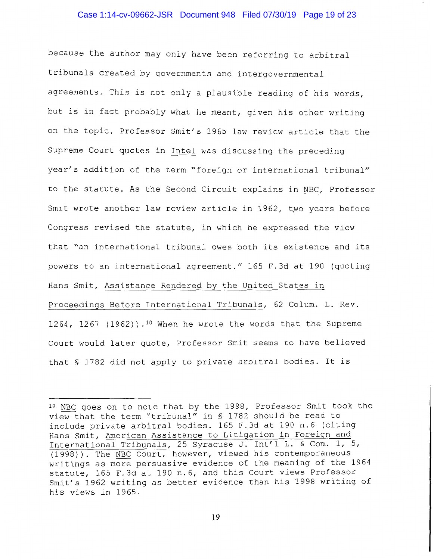#### Case 1:14-cv-09662-JSR Document 948 Filed 07/30/19 Page 19 of 23

because the author may only have been referring to arbitral tribunals created by governments and intergovernmental agreements. This is not only a plausible reading of his words, but is in fact probably what he meant, given his other writing on the topic. Professor Smit's 1965 law review article that the Supreme Court quotes in Intel was discussing the preceding year's addition of the term "foreign or international tribunal" to the statute. As the Second Circuit explains in NBC, Professor Smit wrote another law review article in 1962, two years before Congress revised the statute, in which he expressed the view that "an international tribunal owes both its existence and its powers to an international agreement." 165 F.3d at 190 (quoting Hans Smit, Assistance Rendered by the United States in Proceedings Before International Tribunals, 62 Colum. L. Rev. 1264, 1267 (1962)).<sup>10</sup> When he wrote the words that the Supreme Court would later quote, Professor Smit seems to have believed that § 1782 did not apply to private arbitral bodies. It is

<sup>&</sup>lt;sup>10</sup> NBC goes on to note that by the 1998, Professor Smit took the view that the term "tribunal" in § 1782 should be read to include private arbitral bodies. 165 F.3d at 190 n.6 (citing Hans Smit, American Assistance to Litigation in Foreign and International Tribunals, 25 Syracuse J. Int'l L. & Com. 1, 5, (1998)). The NBC Court, however, viewed his contemporaneous writings as more persuasive evidence of the meaning of the 1964 statute, 165 F.3d at 190 n.6, and this Court views Professor Smit's 1962 writing as better evidence than his 1998 writing of his views in 1965.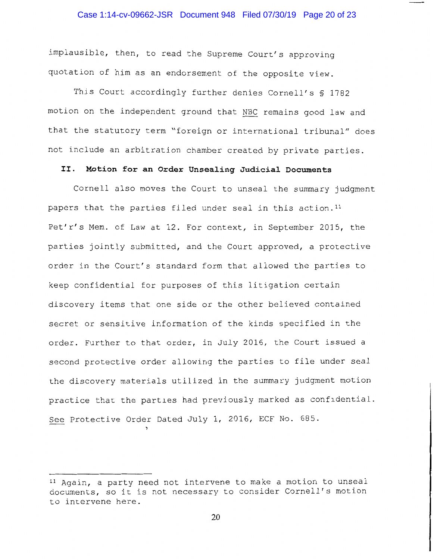#### Case 1:14-cv-09662-JSR Document 948 Filed 07/30/19 Page 20 of 23

implausible, then, to read the Supreme Court's approving quotation of him as an endorsement of the opposite view.

This Court accordingly further denies Cornell's \$ 1782 motion on the independent ground that NBC remains good law and that the statutory term "foreign or international tribunal" does not include an arbitration chamber created by private parties.

## II. Motion for an Order Unsealing Judicial Documents

Cornell also moves the Court to unseal the summary judgment papers that the parties filed under seal in this action.<sup>11</sup> Pet'r's Mem. of Law at 12. For context, in September 2015, the parties jointly submitted, and the Court approved, a protective order in the Court's standard form that allowed the parties to keep confidential for purposes of this litigation certain discovery items that one side or the other believed contained secret or sensitive information of the kinds specified in the order. Further to that order, in July 2016, the Court issued a second protective order allowing the parties to file under seal the discovery materials utilized in the summary judgment motion practice that the parties had previously marked as confidential. See Protective Order Dated July 1, 2016, ECF No. 685.

<sup>&</sup>lt;sup>11</sup> Again, a party need not intervene to make a motion to unseal documents, so it is not necessary to consider Cornell's motion to intervene here.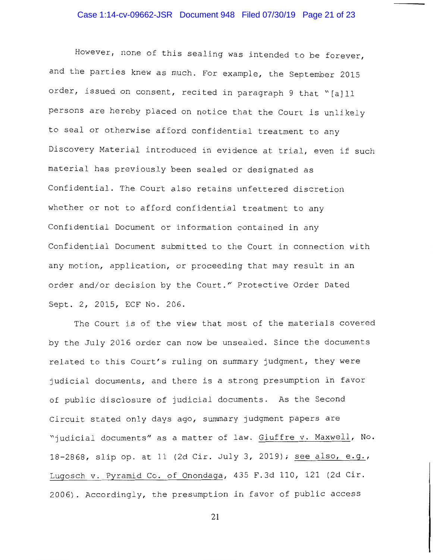However, none of this sealing was intended to be forever, and the parties knew as much. For example, the September 2015 order, issued on consent, recited in paragraph 9 that "[a]ll persons are hereby placed on notice that the Court is unlikely to seal or otherwise afford confidential treatment to any Discovery Material introduced in evidence at trial, even if such material has previously been sealed or designated as Confidential. The Court also retains unfettered discretion whether or not to afford confidential treatment to any Confidential Document or information contained in any Confidential Document submitted to the Court in connection with any motion, application, or proceeding that may result in an order and/or decision by the Court." Protective Order Dated Sept. 2, 2015, ECF No. 206.

The Court is of the view that most of the materials covered by the July 2016 order can now be unsealed. Since the documents related to this Court's ruling on summary judgment, they were judicial documents, and there is a strong presumption in favor of public disclosure of judicial documents. As the Second Circuit stated only days ago, summary judgment papers are "judicial documents" as a matter of law. Giuffre v. Maxwell, No. 18-2868, slip op. at 11 (2d Cir. July 3, 2019); see also, e.g., Lugosch v. Pyramid Co. of Onondaga, 435 F.3d 110, 121 (2d Cir. 2006). Accordingly, the presumption in favor of public access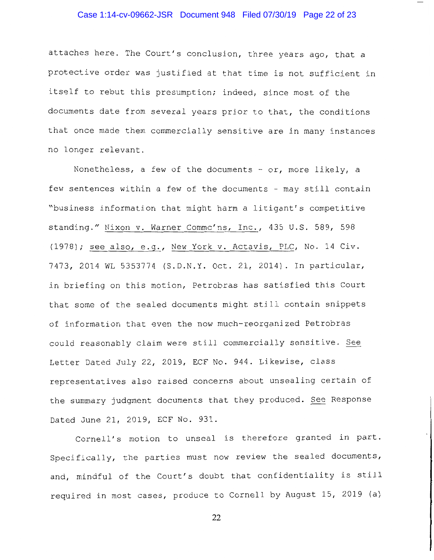#### Case 1:14-cv-09662-JSR Document 948 Filed 07/30/19 Page 22 of 23

attaches here. The Court's conclusion, three years ago, that a protective order was justified at that time is not sufficient in itself to rebut this presumption; indeed, since most of the documents date from several years prior to that, the conditions that once made them commercially sensitive are in many instances no longer relevant.

Nonetheless, a few of the documents - or, more likely, a few sentences within a few of the documents - may still contain "business information that might harm a litigant's competitive standing." Nixon v. Warner Commc'ns, Inc., 435 U.S. 589, 598 (1978); see also, e.g., New York v. Actavis, PLC, No. 14 Civ. 7473, 2014 WL 5353774 (S.D.N.Y. Oct. 21, 2014). In particular, in briefing on this motion, Petrobras has satisfied this Court that some of the sealed documents might still contain snippets of information that even the now much-reorganized Petrobras could reasonably claim were still commercially sensitive. See Letter Dated July 22, 2019, ECF No. 944. Likewise, class representatives also raised concerns about unsealing certain of the summary judgment documents that they produced. See Response Dated June 21, 2019, ECF No. 931.

Cornell's motion to unseal is therefore granted in part. Specifically, the parties must now review the sealed documents, and, mindful of the Court's doubt that confidentiality is still required in most cases, produce to Cornell by August 15, 2019 (a)